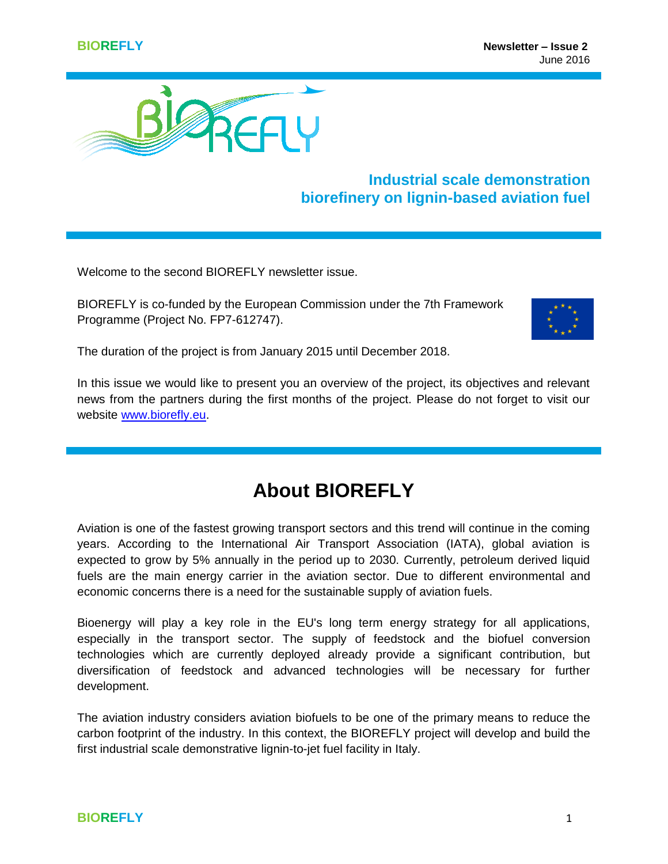

## **Industrial scale demonstration biorefinery on lignin-based aviation fuel**

Welcome to the second BIOREFLY newsletter issue.

BIOREFLY is co-funded by the European Commission under the 7th Framework Programme (Project No. FP7-612747).



The duration of the project is from January 2015 until December 2018.

In this issue we would like to present you an overview of the project, its objectives and relevant news from the partners during the first months of the project. Please do not forget to visit our website [www.biorefly.eu.](http://www.biorefly.eu/)

# **About BIOREFLY**

Aviation is one of the fastest growing transport sectors and this trend will continue in the coming years. According to the International Air Transport Association (IATA), global aviation is expected to grow by 5% annually in the period up to 2030. Currently, petroleum derived liquid fuels are the main energy carrier in the aviation sector. Due to different environmental and economic concerns there is a need for the sustainable supply of aviation fuels.

Bioenergy will play a key role in the EU's long term energy strategy for all applications, especially in the transport sector. The supply of feedstock and the biofuel conversion technologies which are currently deployed already provide a significant contribution, but diversification of feedstock and advanced technologies will be necessary for further development.

The aviation industry considers aviation biofuels to be one of the primary means to reduce the carbon footprint of the industry. In this context, the BIOREFLY project will develop and build the first industrial scale demonstrative lignin-to-jet fuel facility in Italy.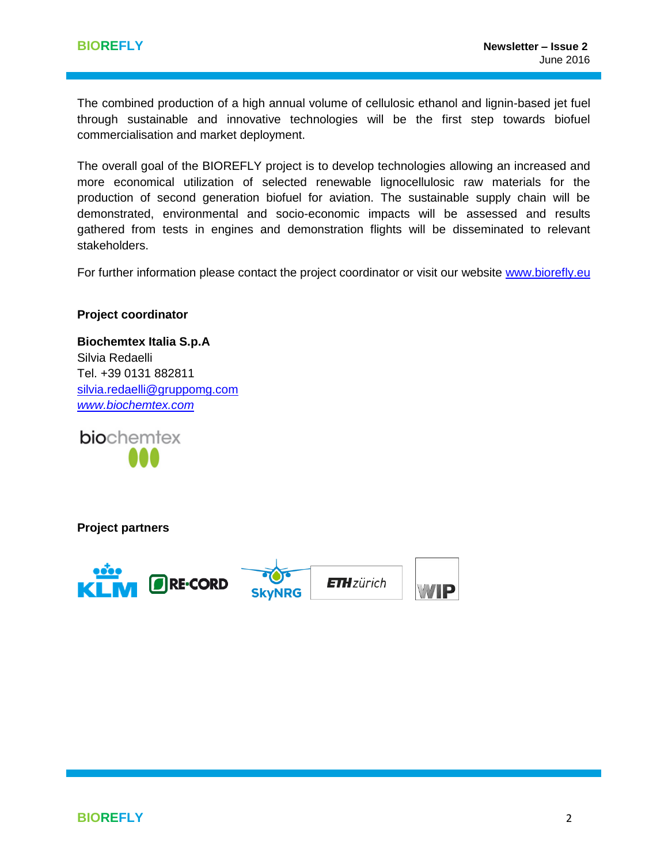The combined production of a high annual volume of cellulosic ethanol and lignin-based jet fuel through sustainable and innovative technologies will be the first step towards biofuel commercialisation and market deployment.

The overall goal of the BIOREFLY project is to develop technologies allowing an increased and more economical utilization of selected renewable lignocellulosic raw materials for the production of second generation biofuel for aviation. The sustainable supply chain will be demonstrated, environmental and socio-economic impacts will be assessed and results gathered from tests in engines and demonstration flights will be disseminated to relevant stakeholders.

For further information please contact the project coordinator or visit our website [www.biorefly.eu](http://www.biorefly.eu/)

#### **Project coordinator**

**Biochemtex Italia S.p.A**  Silvia Redaelli Tel. +39 0131 882811 [silvia.redaelli@gruppomg.com](mailto:silvia.redaelli@gruppomg.com) *[www.biochemtex.com](http://www.biochemtex.com/)*

biochemtex

**Project partners**

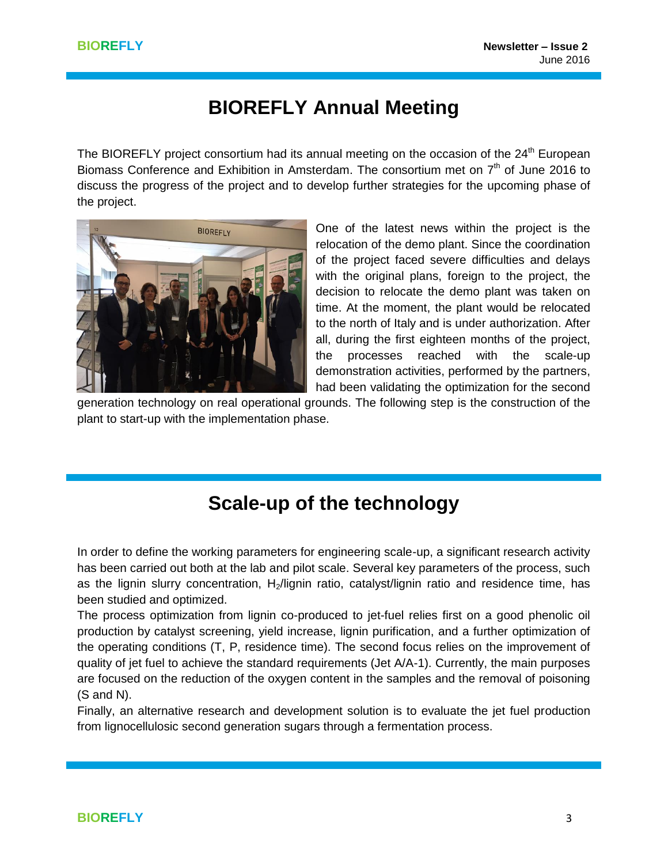## **BIOREFLY Annual Meeting**

The BIOREFLY project consortium had its annual meeting on the occasion of the 24<sup>th</sup> European Biomass Conference and Exhibition in Amsterdam. The consortium met on  $7<sup>th</sup>$  of June 2016 to discuss the progress of the project and to develop further strategies for the upcoming phase of the project.



One of the latest news within the project is the relocation of the demo plant. Since the coordination of the project faced severe difficulties and delays with the original plans, foreign to the project, the decision to relocate the demo plant was taken on time. At the moment, the plant would be relocated to the north of Italy and is under authorization. After all, during the first eighteen months of the project, the processes reached with the scale-up demonstration activities, performed by the partners, had been validating the optimization for the second

generation technology on real operational grounds. The following step is the construction of the plant to start-up with the implementation phase.

# **Scale-up of the technology**

In order to define the working parameters for engineering scale-up, a significant research activity has been carried out both at the lab and pilot scale. Several key parameters of the process, such as the lignin slurry concentration, H<sub>2</sub>/lignin ratio, catalyst/lignin ratio and residence time, has been studied and optimized.

The process optimization from lignin co-produced to jet-fuel relies first on a good phenolic oil production by catalyst screening, yield increase, lignin purification, and a further optimization of the operating conditions (T, P, residence time). The second focus relies on the improvement of quality of jet fuel to achieve the standard requirements (Jet A/A-1). Currently, the main purposes are focused on the reduction of the oxygen content in the samples and the removal of poisoning (S and N).

Finally, an alternative research and development solution is to evaluate the jet fuel production from lignocellulosic second generation sugars through a fermentation process.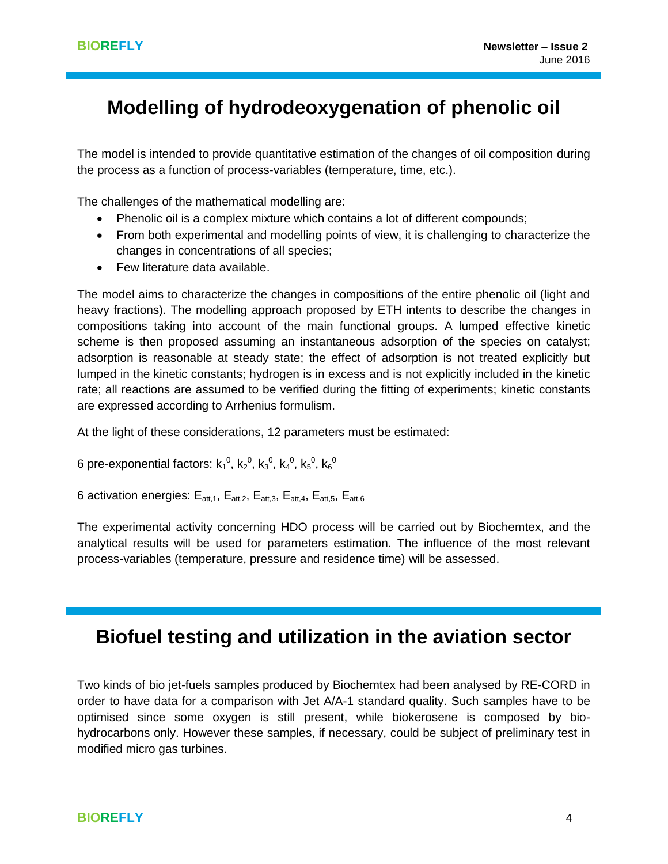# **Modelling of hydrodeoxygenation of phenolic oil**

The model is intended to provide quantitative estimation of the changes of oil composition during the process as a function of process-variables (temperature, time, etc.).

The challenges of the mathematical modelling are:

- Phenolic oil is a complex mixture which contains a lot of different compounds;
- From both experimental and modelling points of view, it is challenging to characterize the changes in concentrations of all species;
- Few literature data available.

The model aims to characterize the changes in compositions of the entire phenolic oil (light and heavy fractions). The modelling approach proposed by ETH intents to describe the changes in compositions taking into account of the main functional groups. A lumped effective kinetic scheme is then proposed assuming an instantaneous adsorption of the species on catalyst; adsorption is reasonable at steady state; the effect of adsorption is not treated explicitly but lumped in the kinetic constants; hydrogen is in excess and is not explicitly included in the kinetic rate; all reactions are assumed to be verified during the fitting of experiments; kinetic constants are expressed according to Arrhenius formulism.

At the light of these considerations, 12 parameters must be estimated:

6 pre-exponential factors: k $_1^0$ , k $_2^0$ , k $_3^0$ , k $_4^0$ , k $_5^0$ , k $_6^0$ 

6 activation energies:  $E_{\text{att.1}}$ ,  $E_{\text{att.2}}$ ,  $E_{\text{att.3}}$ ,  $E_{\text{att.4}}$ ,  $E_{\text{att.5}}$ ,  $E_{\text{att.6}}$ 

The experimental activity concerning HDO process will be carried out by Biochemtex, and the analytical results will be used for parameters estimation. The influence of the most relevant process-variables (temperature, pressure and residence time) will be assessed.

## **Biofuel testing and utilization in the aviation sector**

Two kinds of bio jet-fuels samples produced by Biochemtex had been analysed by RE-CORD in order to have data for a comparison with Jet A/A-1 standard quality. Such samples have to be optimised since some oxygen is still present, while biokerosene is composed by biohydrocarbons only. However these samples, if necessary, could be subject of preliminary test in modified micro gas turbines.

### **BIOREFLY** 4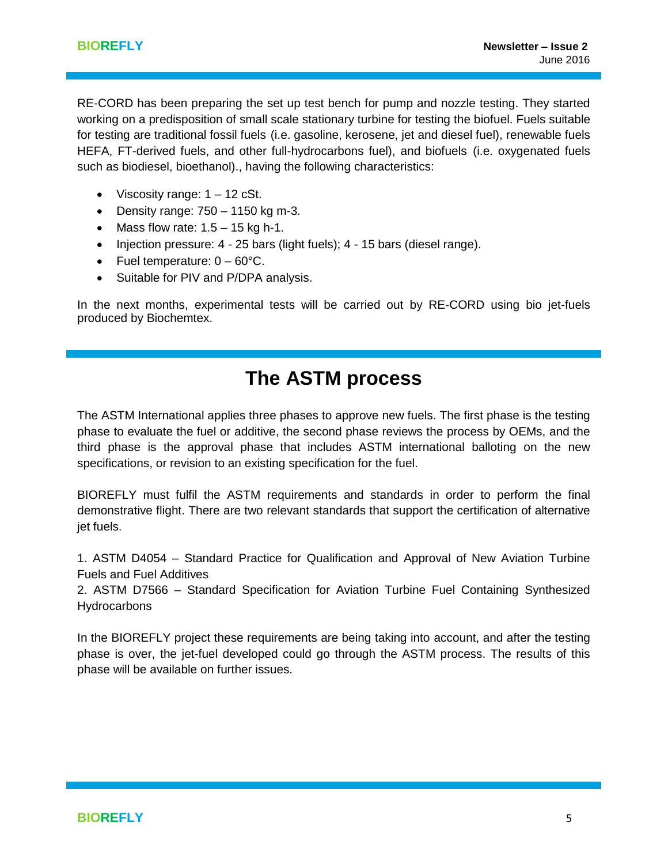RE-CORD has been preparing the set up test bench for pump and nozzle testing. They started working on a predisposition of small scale stationary turbine for testing the biofuel. Fuels suitable for testing are traditional fossil fuels (i.e. gasoline, kerosene, jet and diesel fuel), renewable fuels HEFA, FT-derived fuels, and other full-hydrocarbons fuel), and biofuels (i.e. oxygenated fuels such as biodiesel, bioethanol)., having the following characteristics:

- Viscosity range:  $1 12$  cSt.
- $\bullet$  Density range: 750 1150 kg m-3.
- Mass flow rate:  $1.5 15$  kg h-1.
- $\bullet$  Injection pressure: 4 25 bars (light fuels); 4 15 bars (diesel range).
- Fuel temperature:  $0 60^{\circ}$ C.
- Suitable for PIV and P/DPA analysis.

In the next months, experimental tests will be carried out by RE-CORD using bio jet-fuels produced by Biochemtex.

## **The ASTM process**

The ASTM International applies three phases to approve new fuels. The first phase is the testing phase to evaluate the fuel or additive, the second phase reviews the process by OEMs, and the third phase is the approval phase that includes ASTM international balloting on the new specifications, or revision to an existing specification for the fuel.

BIOREFLY must fulfil the ASTM requirements and standards in order to perform the final demonstrative flight. There are two relevant standards that support the certification of alternative jet fuels.

1. ASTM D4054 – Standard Practice for Qualification and Approval of New Aviation Turbine Fuels and Fuel Additives

2. ASTM D7566 – Standard Specification for Aviation Turbine Fuel Containing Synthesized **Hydrocarbons** 

In the BIOREFLY project these requirements are being taking into account, and after the testing phase is over, the jet-fuel developed could go through the ASTM process. The results of this phase will be available on further issues.